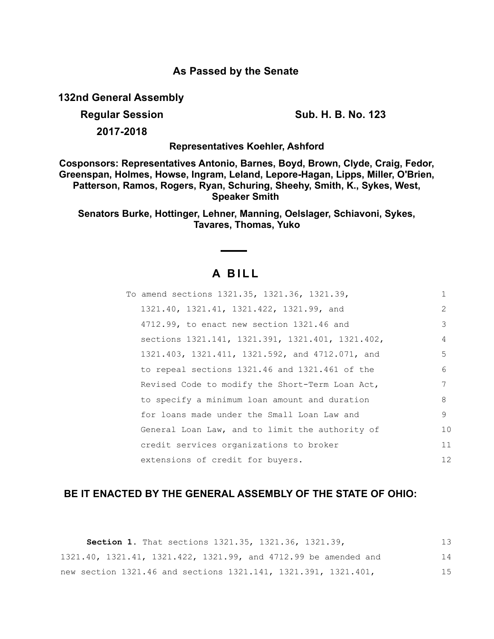### **As Passed by the Senate**

**132nd General Assembly**

**Regular Session Sub. H. B. No. 123**

**2017-2018**

**Representatives Koehler, Ashford**

**Cosponsors: Representatives Antonio, Barnes, Boyd, Brown, Clyde, Craig, Fedor, Greenspan, Holmes, Howse, Ingram, Leland, Lepore-Hagan, Lipps, Miller, O'Brien, Patterson, Ramos, Rogers, Ryan, Schuring, Sheehy, Smith, K., Sykes, West, Speaker Smith** 

**Senators Burke, Hottinger, Lehner, Manning, Oelslager, Schiavoni, Sykes, Tavares, Thomas, Yuko**

# **A B I L L**

| To amend sections 1321.35, 1321.36, 1321.39,     | 1               |
|--------------------------------------------------|-----------------|
| 1321.40, 1321.41, 1321.422, 1321.99, and         | 2               |
| 4712.99, to enact new section 1321.46 and        | 3               |
| sections 1321.141, 1321.391, 1321.401, 1321.402, | 4               |
| 1321.403, 1321.411, 1321.592, and 4712.071, and  | 5               |
| to repeal sections 1321.46 and 1321.461 of the   | 6               |
| Revised Code to modify the Short-Term Loan Act,  | 7               |
| to specify a minimum loan amount and duration    | 8               |
| for loans made under the Small Loan Law and      | 9               |
| General Loan Law, and to limit the authority of  | 10              |
| credit services organizations to broker          | 11              |
| extensions of credit for buyers.                 | 12 <sup>°</sup> |

## **BE IT ENACTED BY THE GENERAL ASSEMBLY OF THE STATE OF OHIO:**

| <b>Section 1.</b> That sections 1321.35, 1321.36, 1321.39,      | 13 |
|-----------------------------------------------------------------|----|
| 1321.40, 1321.41, 1321.422, 1321.99, and 4712.99 be amended and | 14 |
| new section 1321.46 and sections 1321.141, 1321.391, 1321.401,  | 15 |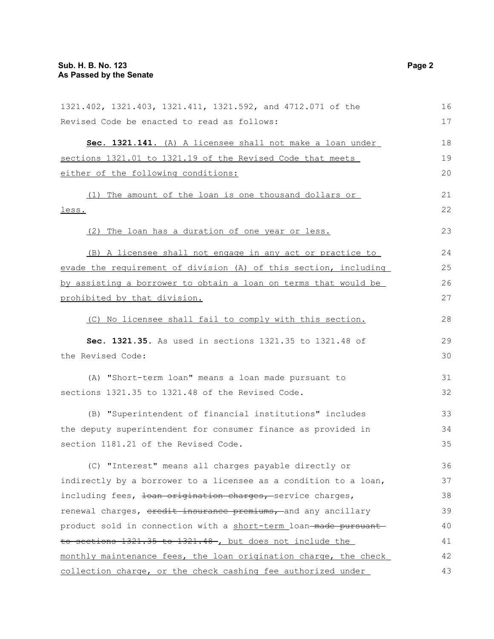| 1321.402, 1321.403, 1321.411, 1321.592, and 4712.071 of the      | 16 |
|------------------------------------------------------------------|----|
| Revised Code be enacted to read as follows:                      | 17 |
|                                                                  |    |
| Sec. 1321.141. (A) A licensee shall not make a loan under        | 18 |
| sections 1321.01 to 1321.19 of the Revised Code that meets       | 19 |
| either of the following conditions:                              | 20 |
| (1) The amount of the loan is one thousand dollars or            | 21 |
| less.                                                            | 22 |
| (2) The loan has a duration of one year or less.                 | 23 |
| (B) A licensee shall not engage in any act or practice to        | 24 |
| evade the requirement of division (A) of this section, including | 25 |
| by assisting a borrower to obtain a loan on terms that would be  | 26 |
| prohibited by that division.                                     | 27 |
| (C) No licensee shall fail to comply with this section.          | 28 |
| Sec. 1321.35. As used in sections 1321.35 to 1321.48 of          | 29 |
| the Revised Code:                                                | 30 |
| (A) "Short-term loan" means a loan made pursuant to              | 31 |
| sections 1321.35 to 1321.48 of the Revised Code.                 | 32 |
| (B) "Superintendent of financial institutions" includes          | 33 |
| the deputy superintendent for consumer finance as provided in    | 34 |
| section 1181.21 of the Revised Code.                             | 35 |
| (C) "Interest" means all charges payable directly or             | 36 |
| indirectly by a borrower to a licensee as a condition to a loan, | 37 |
| including fees, loan origination charges, service charges,       | 38 |
| renewal charges, eredit insurance premiums, and any ancillary    | 39 |
|                                                                  | 40 |
| product sold in connection with a short-term loan-made pursuant- |    |
| to sections 1321.35 to 1321.48 , but does not include the        | 41 |
| monthly maintenance fees, the loan origination charge, the check | 42 |
| collection charge, or the check cashing fee authorized under     | 43 |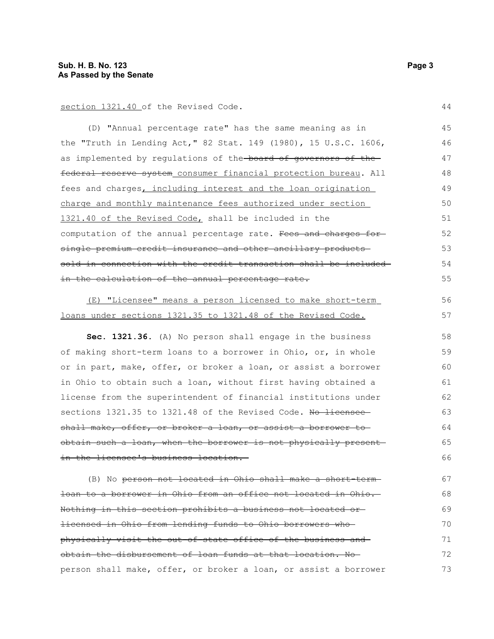### section 1321.40 of the Revised Code.

(D) "Annual percentage rate" has the same meaning as in the "Truth in Lending Act," 82 Stat. 149 (1980), 15 U.S.C. 1606, as implemented by regulations of the-board of governors of thefederal reserve system consumer financial protection bureau. All fees and charges, including interest and the loan origination charge and monthly maintenance fees authorized under section 1321.40 of the Revised Code, shall be included in the computation of the annual percentage rate. Fees and charges forsingle premium credit insurance and other ancillary products sold in connection with the credit transaction shall be included in the calculation of the annual percentage rate. 45 46 47 48 49 50 51 52 53 54 55

#### (E) "Licensee" means a person licensed to make short-term loans under sections 1321.35 to 1321.48 of the Revised Code. 56

**Sec. 1321.36.** (A) No person shall engage in the business of making short-term loans to a borrower in Ohio, or, in whole or in part, make, offer, or broker a loan, or assist a borrower in Ohio to obtain such a loan, without first having obtained a license from the superintendent of financial institutions under sections 1321.35 to 1321.48 of the Revised Code. No licensee shall make, offer, or broker a loan, or assist a borrower to obtain such a loan, when the borrower is not physically present in the licensee's business location. 58 59 60 61 62 63 64 65 66

(B) No person not located in Ohio shall make a short-term loan to a borrower in Ohio from an office not located in Ohio. Nothing in this section prohibits a business not located or licensed in Ohio from lending funds to Ohio borrowers who physically visit the out-of-state office of the business and obtain the disbursement of loan funds at that location. No person shall make, offer, or broker a loan, or assist a borrower 67 68 69 70 71 72 73

44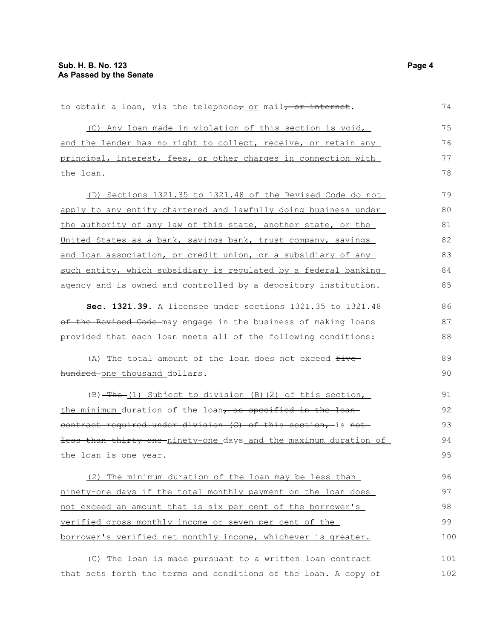| to obtain a loan, via the telephone <sub>7</sub> or mail <del>, or internet</del> . | 74  |
|-------------------------------------------------------------------------------------|-----|
| (C) Any loan made in violation of this section is void,                             | 75  |
| and the lender has no right to collect, receive, or retain any                      | 76  |
| principal, interest, fees, or other charges in connection with                      | 77  |
| the loan.                                                                           | 78  |
| (D) Sections 1321.35 to 1321.48 of the Revised Code do not                          | 79  |
| apply to any entity chartered and lawfully doing business under                     | 80  |
| the authority of any law of this state, another state, or the                       | 81  |
| United States as a bank, savings bank, trust company, savings                       | 82  |
| and loan association, or credit union, or a subsidiary of any                       | 83  |
| such entity, which subsidiary is regulated by a federal banking                     | 84  |
| agency and is owned and controlled by a depository institution.                     | 85  |
| Sec. 1321.39. A licensee under sections 1321.35 to 1321.48                          | 86  |
| of the Revised Code may engage in the business of making loans                      | 87  |
| provided that each loan meets all of the following conditions:                      | 88  |
| (A) The total amount of the loan does not exceed five                               | 89  |
| hundred-one thousand dollars.                                                       | 90  |
| $(B)$ -The $(1)$ Subject to division $(B)$ $(2)$ of this section,                   | 91  |
| the minimum duration of the loan, as specified in the loan-                         | 92  |
| eontract required under division (C) of this section, is not                        | 93  |
| less than thirty-one-ninety-one days and the maximum duration of                    | 94  |
| the loan is one year.                                                               | 95  |
| (2) The minimum duration of the loan may be less than                               | 96  |
| ninety-one days if the total monthly payment on the loan does                       | 97  |
| not exceed an amount that is six per cent of the borrower's                         | 98  |
| verified gross monthly income or seven per cent of the                              | 99  |
| borrower's verified net monthly income, whichever is greater.                       | 100 |
| (C) The loan is made pursuant to a written loan contract                            | 101 |
| that sets forth the terms and conditions of the loan. A copy of                     | 102 |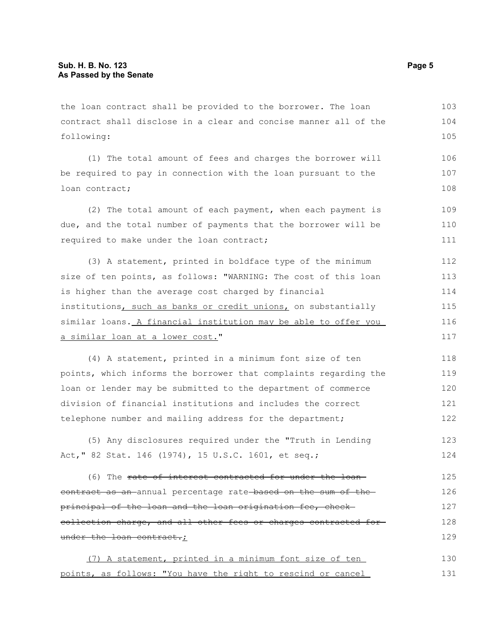the loan contract shall be provided to the borrower. The loan contract shall disclose in a clear and concise manner all of the following: 103 104 105

(1) The total amount of fees and charges the borrower will be required to pay in connection with the loan pursuant to the loan contract; 106 107 108

(2) The total amount of each payment, when each payment is due, and the total number of payments that the borrower will be required to make under the loan contract; 109 110 111

(3) A statement, printed in boldface type of the minimum size of ten points, as follows: "WARNING: The cost of this loan is higher than the average cost charged by financial institutions, such as banks or credit unions, on substantially similar loans. A financial institution may be able to offer you a similar loan at a lower cost." 112 113 114 115 116 117

(4) A statement, printed in a minimum font size of ten points, which informs the borrower that complaints regarding the loan or lender may be submitted to the department of commerce division of financial institutions and includes the correct telephone number and mailing address for the department; 118 119 120 121 122

(5) Any disclosures required under the "Truth in Lending Act," 82 Stat. 146 (1974), 15 U.S.C. 1601, et seq.; 123 124

(6) The rate of interest contracted for under the loan contract as an annual percentage rate based on the sum of the principal of the loan and the loan origination fee, check collection charge, and all other fees or charges contracted for under the loan contract.; 125 126 127 128 129

(7) A statement, printed in a minimum font size of ten points, as follows: "You have the right to rescind or cancel 130 131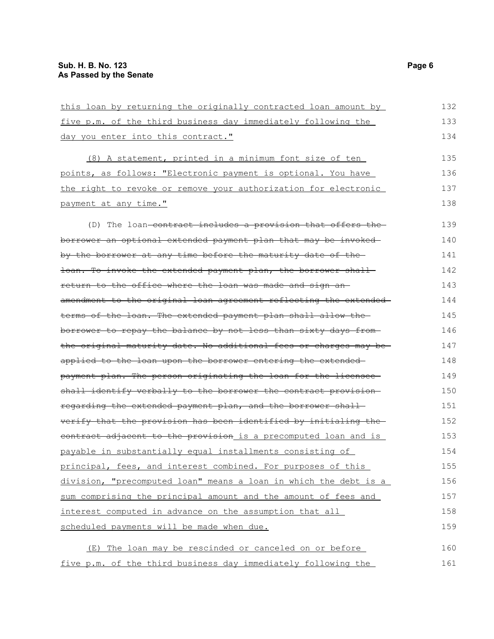| this loan by returning the originally contracted loan amount by  | 132 |
|------------------------------------------------------------------|-----|
| five p.m. of the third business day immediately following the    | 133 |
| day you enter into this contract."                               | 134 |
| (8) A statement, printed in a minimum font size of ten           | 135 |
| points, as follows: "Electronic payment is optional. You have    | 136 |
| the right to revoke or remove your authorization for electronic  | 137 |
| payment at any time."                                            | 138 |
| (D) The loan-contract includes a provision that offers the-      | 139 |
| borrower an optional extended payment plan that may be invoked-  | 140 |
| by the borrower at any time before the maturity date of the      | 141 |
| loan. To invoke the extended payment plan, the borrower shall    | 142 |
| return to the office where the loan was made and sign an-        | 143 |
| amendment to the original loan agreement reflecting the extended | 144 |
| terms of the loan. The extended payment plan shall allow the     | 145 |
| borrower to repay the balance by not less than sixty days from-  | 146 |
| the original maturity date. No additional fees or charges may be | 147 |
| applied to the loan upon the borrower entering the extended-     | 148 |
| payment plan. The person originating the loan for the licensee-  | 149 |
| shall identify verbally to the borrower the contract provision-  | 150 |
| regarding the extended payment plan, and the borrower shall-     | 151 |
| verify that the provision has been identified by initialing the  | 152 |
| eontract adjacent to the provision is a precomputed loan and is  | 153 |
| payable in substantially equal installments consisting of        | 154 |
| principal, fees, and interest combined. For purposes of this     | 155 |
| division, "precomputed loan" means a loan in which the debt is a | 156 |
| sum comprising the principal amount and the amount of fees and   | 157 |
| interest computed in advance on the assumption that all          | 158 |
| scheduled payments will be made when due.                        | 159 |
| (E) The loan may be rescinded or canceled on or before           | 160 |

five p.m. of the third business day immediately following the 161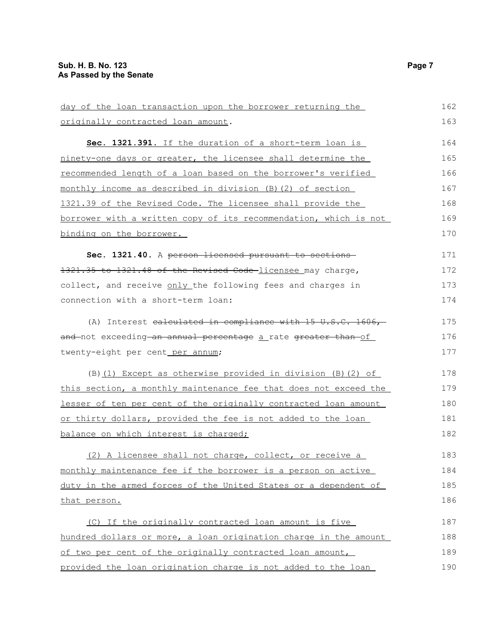| day of the loan transaction upon the borrower returning the                      | 162 |
|----------------------------------------------------------------------------------|-----|
| originally contracted loan amount.                                               | 163 |
| Sec. 1321.391. If the duration of a short-term loan is                           | 164 |
| ninety-one days or greater, the licensee shall determine the                     | 165 |
| recommended length of a loan based on the borrower's verified                    | 166 |
| monthly income as described in division (B)(2) of section                        | 167 |
| 1321.39 of the Revised Code. The licensee shall provide the                      | 168 |
| <u>borrower with a written copy of its recommendation, which is not </u>         | 169 |
| <u>binding on the borrower.</u>                                                  | 170 |
| Sec. 1321.40. A person licensed pursuant to sections                             | 171 |
| 1321.35 to 1321.48 of the Revised Code-licensee may charge,                      | 172 |
| collect, and receive only the following fees and charges in                      | 173 |
| connection with a short-term loan:                                               | 174 |
| (A) Interest calculated in compliance with $15 \text{ U.S.C. } 1606,$            | 175 |
| <del>and </del> not exceeding an annual percentage <u>a</u> rate greater than of | 176 |
| twenty-eight per cent per annum;                                                 | 177 |
| (B) (1) Except as otherwise provided in division (B) (2) of                      | 178 |
| this section, a monthly maintenance fee that does not exceed the                 | 179 |
| <u>lesser of ten per cent of the originally contracted loan amount </u>          | 180 |
| or thirty dollars, provided the fee is not added to the loan                     | 181 |
| balance on which interest is charged;                                            | 182 |
| (2) A licensee shall not charge, collect, or receive a                           | 183 |
| monthly maintenance fee if the borrower is a person on active                    | 184 |
| duty in the armed forces of the United States or a dependent of                  | 185 |
| that person.                                                                     | 186 |
| (C) If the originally contracted loan amount is five                             | 187 |
| hundred dollars or more, a loan origination charge in the amount                 | 188 |
| of two per cent of the originally contracted loan amount,                        | 189 |
| provided the loan origination charge is not added to the loan                    | 190 |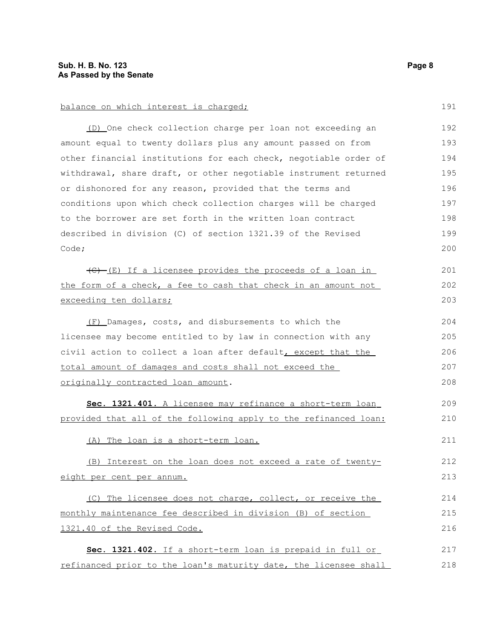(D) One check collection charge per loan not exceeding an amount equal to twenty dollars plus any amount passed on from other financial institutions for each check, negotiable order of withdrawal, share draft, or other negotiable instrument returned or dishonored for any reason, provided that the terms and conditions upon which check collection charges will be charged to the borrower are set forth in the written loan contract described in division (C) of section 1321.39 of the Revised Code; 192 193 194 195 196 197 198 199 200

 $(\theta)$  (E) If a licensee provides the proceeds of a loan in the form of a check, a fee to cash that check in an amount not exceeding ten dollars; 201 202 203

 (F) Damages, costs, and disbursements to which the licensee may become entitled to by law in connection with any civil action to collect a loan after default, except that the total amount of damages and costs shall not exceed the originally contracted loan amount. 204 205 206 207 208

 **Sec. 1321.401.** A licensee may refinance a short-term loan provided that all of the following apply to the refinanced loan:

(A) The loan is a short-term loan.

 (B) Interest on the loan does not exceed a rate of twentyeight per cent per annum.

(C) The licensee does not charge, collect, or receive the monthly maintenance fee described in division (B) of section 1321.40 of the Revised Code. 214 215 216

 **Sec. 1321.402.** If a short-term loan is prepaid in full or refinanced prior to the loan's maturity date, the licensee shall 217 218

191

209 210

211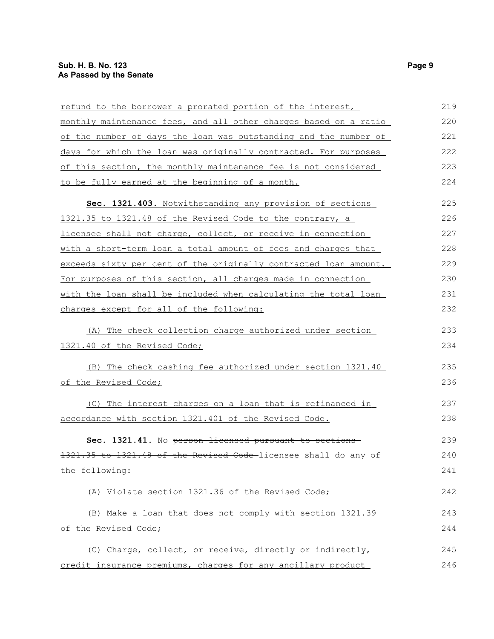| refund to the borrower a prorated portion of the interest,       | 219 |
|------------------------------------------------------------------|-----|
| monthly maintenance fees, and all other charges based on a ratio | 220 |
| of the number of days the loan was outstanding and the number of | 221 |
| days for which the loan was originally contracted. For purposes  | 222 |
| of this section, the monthly maintenance fee is not considered   | 223 |
| to be fully earned at the beginning of a month.                  | 224 |
| Sec. 1321.403. Notwithstanding any provision of sections         | 225 |
| 1321.35 to 1321.48 of the Revised Code to the contrary, a        | 226 |
| licensee shall not charge, collect, or receive in connection     | 227 |
| with a short-term loan a total amount of fees and charges that   | 228 |
| exceeds sixty per cent of the originally contracted loan amount. | 229 |
| For purposes of this section, all charges made in connection     | 230 |
| with the loan shall be included when calculating the total loan  | 231 |
| charges except for all of the following:                         | 232 |
| (A) The check collection charge authorized under section         | 233 |
| 1321.40 of the Revised Code;                                     | 234 |
| (B) The check cashing fee authorized under section 1321.40       | 235 |
| of the Revised Code;                                             | 236 |
| (C) The interest charges on a loan that is refinanced in         | 237 |
| accordance with section 1321.401 of the Revised Code.            | 238 |
| Sec. 1321.41. No person licensed pursuant to sections-           | 239 |
| 1321.35 to 1321.48 of the Revised Code licensee shall do any of  | 240 |
| the following:                                                   | 241 |
| (A) Violate section 1321.36 of the Revised Code;                 | 242 |
| (B) Make a loan that does not comply with section 1321.39        | 243 |
| of the Revised Code;                                             | 244 |
| (C) Charge, collect, or receive, directly or indirectly,         | 245 |
| credit insurance premiums, charges for any ancillary product     | 246 |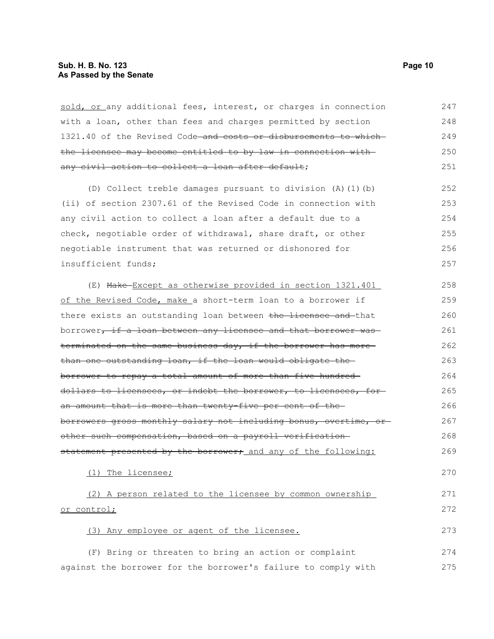### **Sub. H. B. No. 123 Page 10 As Passed by the Senate**

| sold, or any additional fees, interest, or charges in connection | 247 |
|------------------------------------------------------------------|-----|
| with a loan, other than fees and charges permitted by section    | 248 |
| 1321.40 of the Revised Code and costs or disbursements to which  | 249 |
| the licensee may become entitled to by law in connection with    | 250 |
| any civil action to collect a loan after default;                | 251 |
| (D) Collect treble damages pursuant to division (A) (1) (b)      | 252 |
| (ii) of section 2307.61 of the Revised Code in connection with   | 253 |
| any civil action to collect a loan after a default due to a      | 254 |
| check, negotiable order of withdrawal, share draft, or other     | 255 |
| negotiable instrument that was returned or dishonored for        | 256 |
| insufficient funds;                                              | 257 |
| (E) Make-Except as otherwise provided in section 1321.401        | 258 |
| of the Revised Code, make a short-term loan to a borrower if     | 259 |
| there exists an outstanding loan between the licensee and that   | 260 |
| borrower, if a loan between any licensee and that borrower was   | 261 |
| terminated on the same business day, if the borrower has more    | 262 |
| than one outstanding loan, if the loan would obligate the        | 263 |
| borrower to repay a total amount of more than five hundred-      | 264 |
| dollars to licensees, or indebt the borrower, to licensees, for- | 265 |
| an amount that is more than twenty-five per cent of the-         | 266 |
| borrowers gross monthly salary not including bonus, overtime, or | 267 |
| other such compensation, based on a payroll verification-        | 268 |
| statement presented by the borrower; and any of the following:   | 269 |
| (1) The licensee;                                                | 270 |
| (2) A person related to the licensee by common ownership         | 271 |
| or control;                                                      | 272 |
| (3) Any employee or agent of the licensee.                       | 273 |
| (F) Bring or threaten to bring an action or complaint            | 274 |
| against the borrower for the borrower's failure to comply with   | 275 |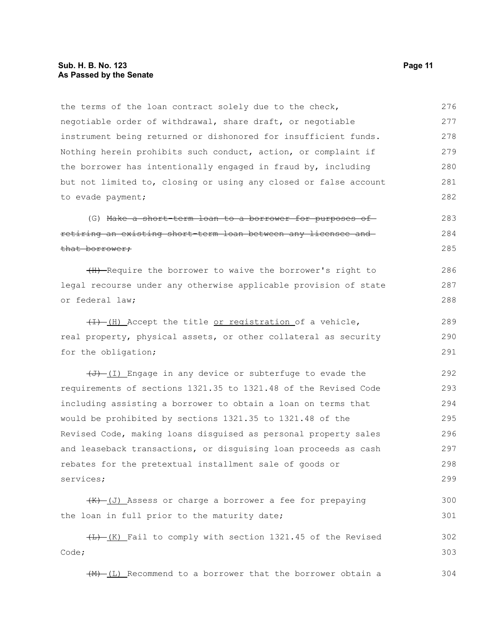the terms of the loan contract solely due to the check, negotiable order of withdrawal, share draft, or negotiable instrument being returned or dishonored for insufficient funds. Nothing herein prohibits such conduct, action, or complaint if the borrower has intentionally engaged in fraud by, including but not limited to, closing or using any closed or false account to evade payment; 276 277 278 279 280 281 282

(G) Make a short-term loan to a borrower for purposes of retiring an existing short-term loan between any licensee and that borrower; 283 284 285

(H) Require the borrower to waive the borrower's right to legal recourse under any otherwise applicable provision of state or federal law;

 $(H)$  (H) Accept the title or registration of a vehicle, real property, physical assets, or other collateral as security for the obligation; 289 290 291

 $(\overline{J} + \overline{J})$  Engage in any device or subterfuge to evade the requirements of sections 1321.35 to 1321.48 of the Revised Code including assisting a borrower to obtain a loan on terms that would be prohibited by sections 1321.35 to 1321.48 of the Revised Code, making loans disguised as personal property sales and leaseback transactions, or disguising loan proceeds as cash rebates for the pretextual installment sale of goods or services; 292 293 294 295 296 297 298 299

 $(K)$  (J) Assess or charge a borrower a fee for prepaying the loan in full prior to the maturity date; 300 301

(L) (K) Fail to comply with section 1321.45 of the Revised Code; 302 303

 $(H)$  (L) Recommend to a borrower that the borrower obtain a 304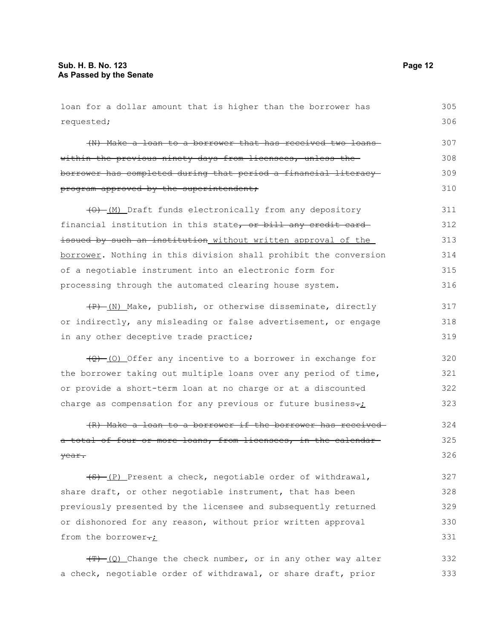| loan for a dollar amount that is higher than the borrower has           | 305 |
|-------------------------------------------------------------------------|-----|
| requested;                                                              | 306 |
| (N) Make a loan to a borrower that has received two loans               | 307 |
| within the previous ninety days from licensees, unless the-             | 308 |
| borrower has completed during that period a financial literacy-         | 309 |
| program approved by the superintendent;                                 | 310 |
| $(0)$ (M) Draft funds electronically from any depository                | 311 |
| financial institution in this state, or bill any credit card            | 312 |
| issued by such an institution without written approval of the           | 313 |
| borrower. Nothing in this division shall prohibit the conversion        | 314 |
| of a negotiable instrument into an electronic form for                  | 315 |
| processing through the automated clearing house system.                 | 316 |
| (P) (N) Make, publish, or otherwise disseminate, directly               | 317 |
| or indirectly, any misleading or false advertisement, or engage         | 318 |
| in any other deceptive trade practice;                                  | 319 |
| $(Q)$ (0) Offer any incentive to a borrower in exchange for             | 320 |
| the borrower taking out multiple loans over any period of time,         | 321 |
| or provide a short-term loan at no charge or at a discounted            | 322 |
| charge as compensation for any previous or future business-:            | 323 |
| (R) Make a loan to a borrower if the borrower has received              | 324 |
| a total of four or more loans, from licensees, in the calendar-         | 325 |
| year.                                                                   | 326 |
| (S) (P) Present a check, negotiable order of withdrawal,                | 327 |
| share draft, or other negotiable instrument, that has been              | 328 |
| previously presented by the licensee and subsequently returned          | 329 |
| or dishonored for any reason, without prior written approval            | 330 |
| from the borrower-;                                                     | 331 |
| $\overline{(T)}$ (Q) Change the check number, or in any other way alter | 332 |
| a check, negotiable order of withdrawal, or share draft, prior          | 333 |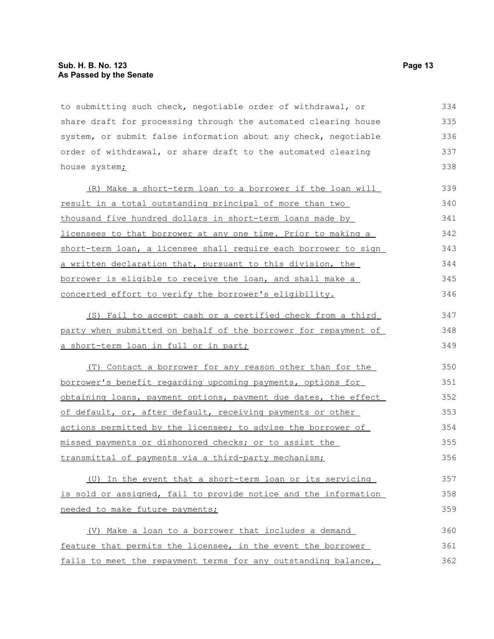to submitting such check, negotiable order of withdrawal, or share draft for processing through the automated clearing house system, or submit false information about any check, negotiable order of withdrawal, or share draft to the automated clearing house system<sub>i</sub> 334 335 336 337 338

(R) Make a short-term loan to a borrower if the loan will result in a total outstanding principal of more than two thousand five hundred dollars in short-term loans made by licensees to that borrower at any one time. Prior to making a short-term loan, a licensee shall require each borrower to sign a written declaration that, pursuant to this division, the borrower is eligible to receive the loan, and shall make a concerted effort to verify the borrower's eligibility. 339 340 341 342 343 344 345 346

 (S) Fail to accept cash or a certified check from a third party when submitted on behalf of the borrower for repayment of a short-term loan in full or in part; 347 348 349

(T) Contact a borrower for any reason other than for the borrower's benefit regarding upcoming payments, options for obtaining loans, payment options, payment due dates, the effect of default, or, after default, receiving payments or other actions permitted by the licensee; to advise the borrower of missed payments or dishonored checks; or to assist the transmittal of payments via a third-party mechanism; 350 351 352 353 354 355 356

(U) In the event that a short-term loan or its servicing is sold or assigned, fail to provide notice and the information needed to make future payments; 357 358 359

 (V) Make a loan to a borrower that includes a demand feature that permits the licensee, in the event the borrower fails to meet the repayment terms for any outstanding balance, 360 361 362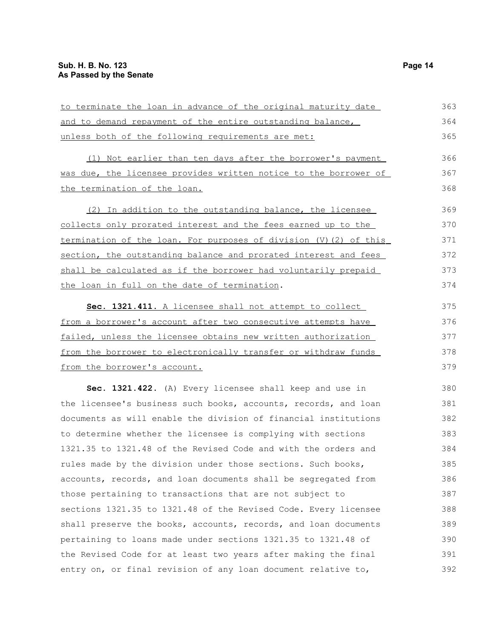| to terminate the loan in advance of the original maturity date    | 363 |
|-------------------------------------------------------------------|-----|
| and to demand repayment of the entire outstanding balance,        | 364 |
| unless both of the following requirements are met:                | 365 |
| (1) Not earlier than ten days after the borrower's payment        | 366 |
| was due, the licensee provides written notice to the borrower of  | 367 |
| the termination of the loan.                                      | 368 |
| (2) In addition to the outstanding balance, the licensee          | 369 |
| collects only prorated interest and the fees earned up to the     | 370 |
| termination of the loan. For purposes of division (V) (2) of this | 371 |
| section, the outstanding balance and prorated interest and fees   | 372 |
| shall be calculated as if the borrower had voluntarily prepaid    | 373 |
| the loan in full on the date of termination.                      | 374 |
| Sec. 1321.411. A licensee shall not attempt to collect            | 375 |
| from a borrower's account after two consecutive attempts have     | 376 |
| failed, unless the licensee obtains new written authorization     | 377 |
| from the borrower to electronically transfer or withdraw funds    | 378 |
| from the borrower's account.                                      | 379 |
| Sec. 1321.422. (A) Every licensee shall keep and use in           | 380 |
| the licensee's business such books, accounts, records, and loan   | 381 |
| documents as will enable the division of financial institutions   | 382 |
| to determine whether the licensee is complying with sections      | 383 |
| 1321.35 to 1321.48 of the Revised Code and with the orders and    | 384 |
| rules made by the division under those sections. Such books,      | 385 |
| accounts, records, and loan documents shall be segregated from    | 386 |
| those pertaining to transactions that are not subject to          | 387 |
| sections 1321.35 to 1321.48 of the Revised Code. Every licensee   | 388 |
| shall preserve the books, accounts, records, and loan documents   | 389 |
| pertaining to loans made under sections 1321.35 to 1321.48 of     | 390 |
| the Revised Code for at least two years after making the final    | 391 |
| entry on, or final revision of any loan document relative to,     | 392 |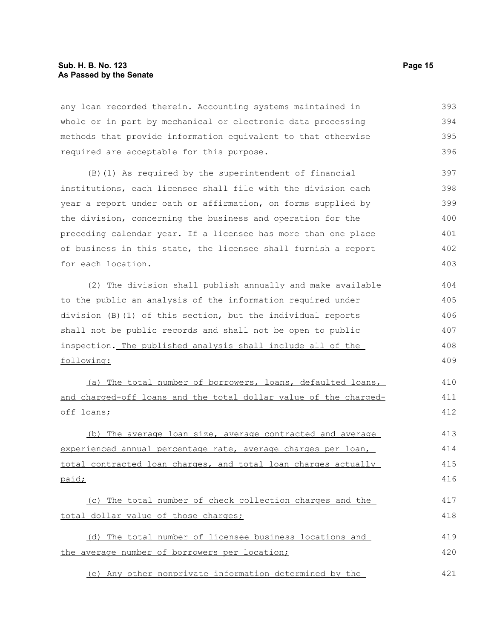any loan recorded therein. Accounting systems maintained in whole or in part by mechanical or electronic data processing methods that provide information equivalent to that otherwise required are acceptable for this purpose. 393 394 395 396

(B)(1) As required by the superintendent of financial institutions, each licensee shall file with the division each year a report under oath or affirmation, on forms supplied by the division, concerning the business and operation for the preceding calendar year. If a licensee has more than one place of business in this state, the licensee shall furnish a report for each location. 397 398 399 400 401 402 403

(2) The division shall publish annually and make available to the public an analysis of the information required under division (B)(1) of this section, but the individual reports shall not be public records and shall not be open to public inspection. The published analysis shall include all of the following: 404 405 406 407 408 409

(a) The total number of borrowers, loans, defaulted loans, and charged-off loans and the total dollar value of the chargedoff loans;

(b) The average loan size, average contracted and average experienced annual percentage rate, average charges per loan, total contracted loan charges, and total loan charges actually paid; 413 414 415 416

(c) The total number of check collection charges and the total dollar value of those charges; 417 418

(d) The total number of licensee business locations and the average number of borrowers per location; 419 420

(e) Any other nonprivate information determined by the 421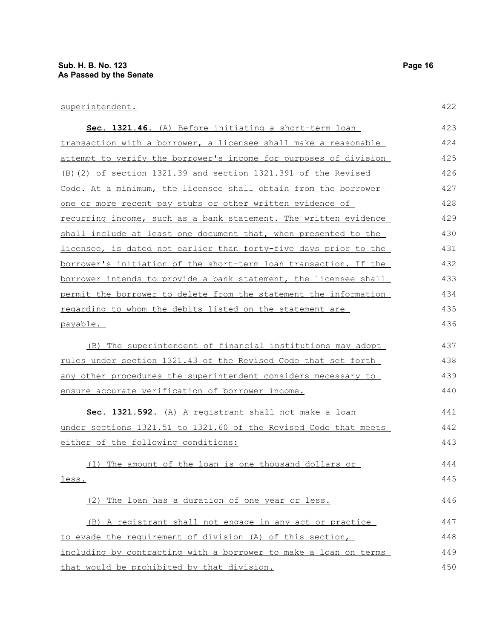| Sec. 1321.46. (A) Before initiating a short-term loan                   | 423 |
|-------------------------------------------------------------------------|-----|
| transaction with a borrower, a licensee shall make a reasonable         | 424 |
| attempt to verify the borrower's income for purposes of division        | 425 |
| (B) (2) of section 1321.39 and section 1321.391 of the Revised          | 426 |
| Code. At a minimum, the licensee shall obtain from the borrower         | 427 |
| one or more recent pay stubs or other written evidence of               | 428 |
| recurring income, such as a bank statement. The written evidence        | 429 |
| shall include at least one document that, when presented to the         | 430 |
| licensee, is dated not earlier than forty-five days prior to the        | 431 |
| borrower's initiation of the short-term loan transaction. If the        | 432 |
| borrower intends to provide a bank statement, the licensee shall        | 433 |
| <u>permit the borrower to delete from the statement the information</u> | 434 |
| regarding to whom the debits listed on the statement are                | 435 |
| payable.                                                                | 436 |
| (B) The superintendent of financial institutions may adopt              | 437 |
| rules under section 1321.43 of the Revised Code that set forth          | 438 |
| any other procedures the superintendent considers necessary to          | 439 |
| ensure accurate verification of borrower income.                        | 440 |
| Sec. 1321.592. (A) A registrant shall not make a loan                   | 441 |
| under sections 1321.51 to 1321.60 of the Revised Code that meets        | 442 |
| either of the following conditions:                                     | 443 |
| (1) The amount of the loan is one thousand dollars or                   | 444 |
| less.                                                                   | 445 |
| (2) The loan has a duration of one year or less.                        | 446 |
| (B) A registrant shall not engage in any act or practice                | 447 |

to evade the requirement of division (A) of this section, including by contracting with a borrower to make a loan on terms that would be prohibited by that division. 448 449 450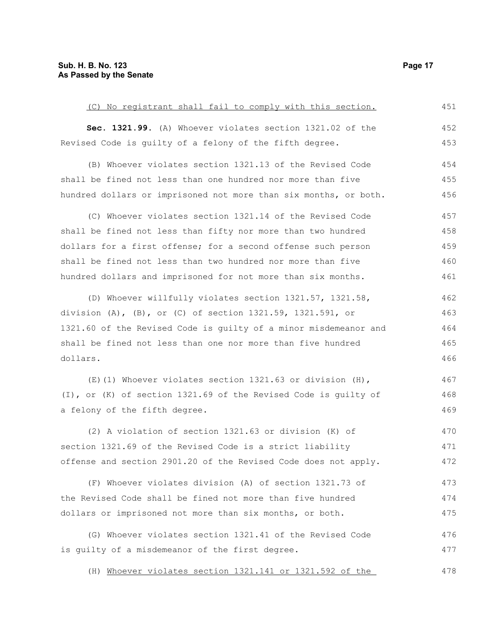(C) No registrant shall fail to comply with this section. **Sec. 1321.99.** (A) Whoever violates section 1321.02 of the Revised Code is guilty of a felony of the fifth degree. (B) Whoever violates section 1321.13 of the Revised Code shall be fined not less than one hundred nor more than five hundred dollars or imprisoned not more than six months, or both. (C) Whoever violates section 1321.14 of the Revised Code shall be fined not less than fifty nor more than two hundred dollars for a first offense; for a second offense such person shall be fined not less than two hundred nor more than five hundred dollars and imprisoned for not more than six months. (D) Whoever willfully violates section 1321.57, 1321.58, division (A), (B), or (C) of section 1321.59, 1321.591, or 1321.60 of the Revised Code is guilty of a minor misdemeanor and shall be fined not less than one nor more than five hundred dollars. (E)(1) Whoever violates section 1321.63 or division (H), (I), or (K) of section 1321.69 of the Revised Code is guilty of a felony of the fifth degree. (2) A violation of section 1321.63 or division (K) of section 1321.69 of the Revised Code is a strict liability offense and section 2901.20 of the Revised Code does not apply. (F) Whoever violates division (A) of section 1321.73 of the Revised Code shall be fined not more than five hundred dollars or imprisoned not more than six months, or both. (G) Whoever violates section 1321.41 of the Revised Code is guilty of a misdemeanor of the first degree. 451 452 453 454 455 456 457 458 459 460 461 462 463 464 465 466 467 468 469 470 471 472 473 474 475 476 477

(H) Whoever violates section 1321.141 or 1321.592 of the 478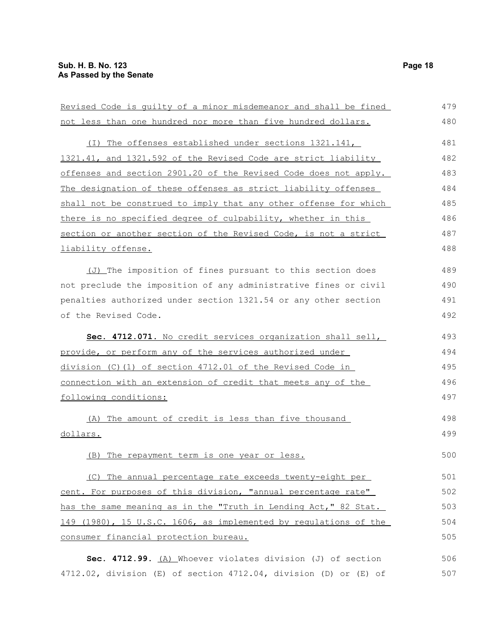liability offense.

Revised Code is guilty of a minor misdemeanor and shall be fined not less than one hundred nor more than five hundred dollars. (I) The offenses established under sections 1321.141, 1321.41, and 1321.592 of the Revised Code are strict liability offenses and section 2901.20 of the Revised Code does not apply. The designation of these offenses as strict liability offenses shall not be construed to imply that any other offense for which there is no specified degree of culpability, whether in this section or another section of the Revised Code, is not a strict (J) The imposition of fines pursuant to this section does not preclude the imposition of any administrative fines or civil penalties authorized under section 1321.54 or any other section of the Revised Code. **Sec. 4712.071.** No credit services organization shall sell, 479 480 481 482 483 484 485 486 487 488 489 490 491 492 493

provide, or perform any of the services authorized under division (C)(1) of section 4712.01 of the Revised Code in connection with an extension of credit that meets any of the following conditions: 494 495 496 497

 (A) The amount of credit is less than five thousand dollars. 498 499

(B) The repayment term is one year or less.

(C) The annual percentage rate exceeds twenty-eight per cent. For purposes of this division, "annual percentage rate" has the same meaning as in the "Truth in Lending Act," 82 Stat. 149 (1980), 15 U.S.C. 1606, as implemented by regulations of the consumer financial protection bureau. 501 502 503 504 505

**Sec. 4712.99.** (A) Whoever violates division (J) of section 4712.02, division (E) of section 4712.04, division (D) or (E) of 506 507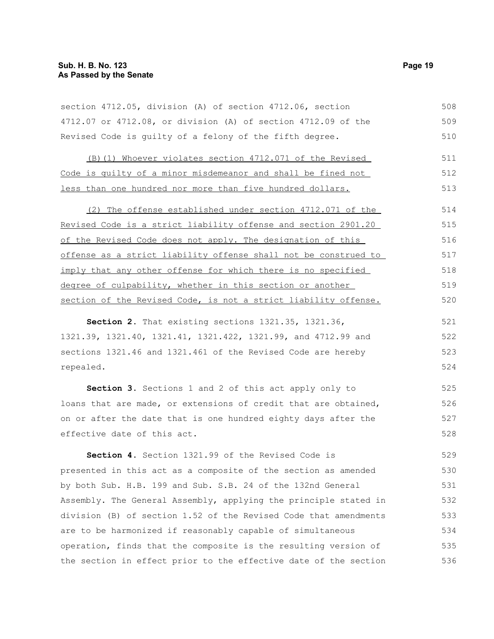section 4712.05, division (A) of section 4712.06, section 4712.07 or 4712.08, or division (A) of section 4712.09 of the Revised Code is guilty of a felony of the fifth degree. 508 509 510

(B)(1) Whoever violates section 4712.071 of the Revised Code is quilty of a minor misdemeanor and shall be fined not less than one hundred nor more than five hundred dollars. 511 512 513

(2) The offense established under section 4712.071 of the Revised Code is a strict liability offense and section 2901.20 of the Revised Code does not apply. The designation of this offense as a strict liability offense shall not be construed to imply that any other offense for which there is no specified degree of culpability, whether in this section or another section of the Revised Code, is not a strict liability offense. 514 515 516 517 518 519 520

**Section 2.** That existing sections 1321.35, 1321.36, 1321.39, 1321.40, 1321.41, 1321.422, 1321.99, and 4712.99 and sections 1321.46 and 1321.461 of the Revised Code are hereby repealed. 521 522 523 524

**Section 3.** Sections 1 and 2 of this act apply only to loans that are made, or extensions of credit that are obtained, on or after the date that is one hundred eighty days after the effective date of this act.

**Section 4.** Section 1321.99 of the Revised Code is presented in this act as a composite of the section as amended by both Sub. H.B. 199 and Sub. S.B. 24 of the 132nd General Assembly. The General Assembly, applying the principle stated in division (B) of section 1.52 of the Revised Code that amendments are to be harmonized if reasonably capable of simultaneous operation, finds that the composite is the resulting version of the section in effect prior to the effective date of the section 529 530 531 532 533 534 535 536